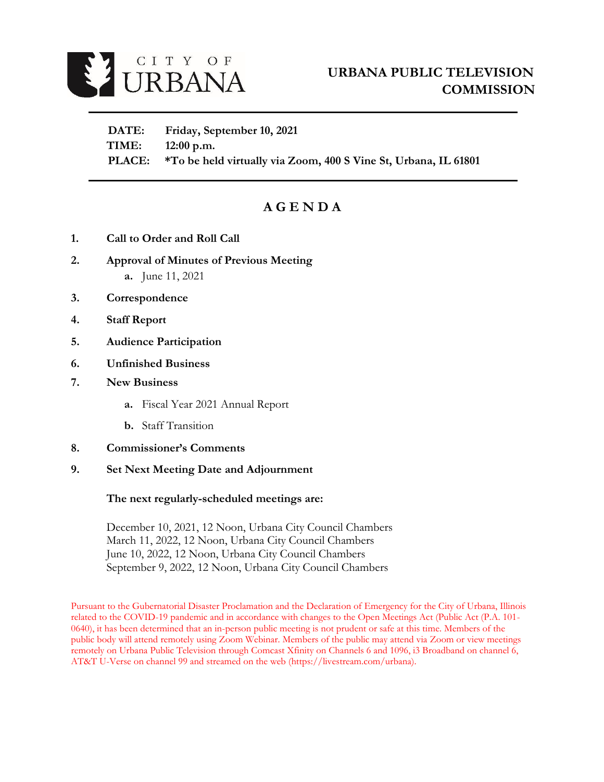

 **DATE: Friday, September 10, 2021 TIME: 12:00 p.m. PLACE: \*To be held virtually via Zoom, 400 S Vine St, Urbana, IL 61801**

# **A G E N D A**

- **1. Call to Order and Roll Call**
- **2. Approval of Minutes of Previous Meeting a.** June 11, 2021
- **3. Correspondence**
- **4. Staff Report**
- **5. Audience Participation**
- **6. Unfinished Business**
- **7. New Business** 
	- **a.** Fiscal Year 2021 Annual Report
	- **b.** Staff Transition
- **8. Commissioner's Comments**
- **9. Set Next Meeting Date and Adjournment**

#### **The next regularly-scheduled meetings are:**

December 10, 2021, 12 Noon, Urbana City Council Chambers March 11, 2022, 12 Noon, Urbana City Council Chambers June 10, 2022, 12 Noon, Urbana City Council Chambers September 9, 2022, 12 Noon, Urbana City Council Chambers

Pursuant to the Gubernatorial Disaster Proclamation and the Declaration of Emergency for the City of Urbana, Illinois related to the COVID-19 pandemic and in accordance with changes to the Open Meetings Act (Public Act (P.A. 101- 0640), it has been determined that an in-person public meeting is not prudent or safe at this time. Members of the public body will attend remotely using Zoom Webinar. Members of the public may attend via Zoom or view meetings remotely on Urbana Public Television through Comcast Xfinity on Channels 6 and 1096, i3 Broadband on channel 6, AT&T U-Verse on channel 99 and streamed on the web (https://livestream.com/urbana).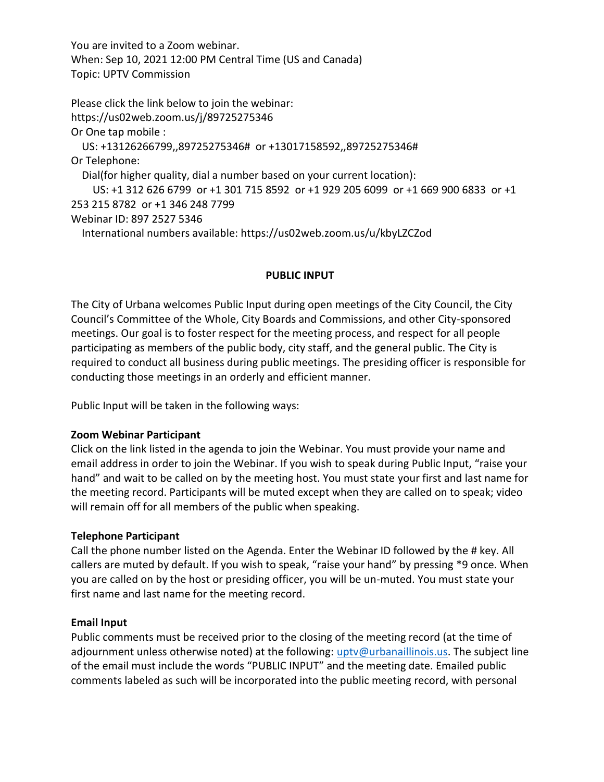You are invited to a Zoom webinar. When: Sep 10, 2021 12:00 PM Central Time (US and Canada) Topic: UPTV Commission

Please click the link below to join the webinar: https://us02web.zoom.us/j/89725275346 Or One tap mobile : US: +13126266799,,89725275346# or +13017158592,,89725275346# Or Telephone: Dial(for higher quality, dial a number based on your current location): US: +1 312 626 6799 or +1 301 715 8592 or +1 929 205 6099 or +1 669 900 6833 or +1 253 215 8782 or +1 346 248 7799 Webinar ID: 897 2527 5346 International numbers available: https://us02web.zoom.us/u/kbyLZCZod

## **PUBLIC INPUT**

The City of Urbana welcomes Public Input during open meetings of the City Council, the City Council's Committee of the Whole, City Boards and Commissions, and other City-sponsored meetings. Our goal is to foster respect for the meeting process, and respect for all people participating as members of the public body, city staff, and the general public. The City is required to conduct all business during public meetings. The presiding officer is responsible for conducting those meetings in an orderly and efficient manner.

Public Input will be taken in the following ways:

## **Zoom Webinar Participant**

Click on the link listed in the agenda to join the Webinar. You must provide your name and email address in order to join the Webinar. If you wish to speak during Public Input, "raise your hand" and wait to be called on by the meeting host. You must state your first and last name for the meeting record. Participants will be muted except when they are called on to speak; video will remain off for all members of the public when speaking.

## **Telephone Participant**

Call the phone number listed on the Agenda. Enter the Webinar ID followed by the # key. All callers are muted by default. If you wish to speak, "raise your hand" by pressing \*9 once. When you are called on by the host or presiding officer, you will be un-muted. You must state your first name and last name for the meeting record.

#### **Email Input**

Public comments must be received prior to the closing of the meeting record (at the time of adjournment unless otherwise noted) at the following: [uptv@urbanaillinois.us.](file://///Zota/IT$/UPTV/UPTVCommission/Agendas/2020/uptv@urbanaillinois.us) The subject line of the email must include the words "PUBLIC INPUT" and the meeting date. Emailed public comments labeled as such will be incorporated into the public meeting record, with personal